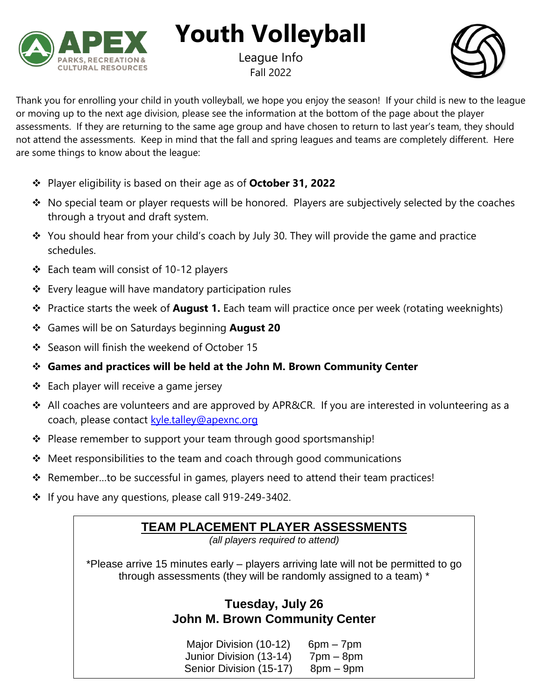

**Youth Volleyball**

League Info Fall 2022



Thank you for enrolling your child in youth volleyball, we hope you enjoy the season! If your child is new to the league or moving up to the next age division, please see the information at the bottom of the page about the player assessments. If they are returning to the same age group and have chosen to return to last year's team, they should not attend the assessments. Keep in mind that the fall and spring leagues and teams are completely different. Here are some things to know about the league:

- ❖ Player eligibility is based on their age as of **October 31, 2022**
- ❖ No special team or player requests will be honored. Players are subjectively selected by the coaches through a tryout and draft system.
- ❖ You should hear from your child's coach by July 30. They will provide the game and practice schedules.
- ❖ Each team will consist of 10-12 players
- ❖ Every league will have mandatory participation rules
- ❖ Practice starts the week of **August 1.** Each team will practice once per week (rotating weeknights)
- ❖ Games will be on Saturdays beginning **August 20**
- ❖ Season will finish the weekend of October 15
- ❖ **Games and practices will be held at the John M. Brown Community Center**
- ❖ Each player will receive a game jersey
- ❖ All coaches are volunteers and are approved by APR&CR. If you are interested in volunteering as a coach, please contact [kyle.talley@apexnc.org](mailto:kyle.talley@apexnc.org)
- ❖ Please remember to support your team through good sportsmanship!
- ❖ Meet responsibilities to the team and coach through good communications
- ❖ Remember…to be successful in games, players need to attend their team practices!
- ❖ If you have any questions, please call 919-249-3402.

# **TEAM PLACEMENT PLAYER ASSESSMENTS**

*(all players required to attend)*

\*Please arrive 15 minutes early – players arriving late will not be permitted to go through assessments (they will be randomly assigned to a team) \*

# **Tuesday, July 26 John M. Brown Community Center**

Major Division  $(10-12)$  6pm – 7pm Junior Division (13-14) 7pm – 8pm Senior Division (15-17) 8pm - 9pm